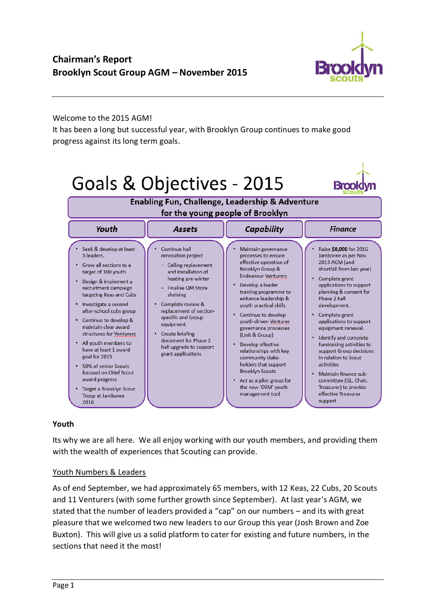

### Welcome to the 2015 AGM!

It has been a long but successful year, with Brooklyn Group continues to make good progress against its long term goals.



## **Youth**

Its why we are all here. We all enjoy working with our youth members, and providing them with the wealth of experiences that Scouting can provide.

#### Youth Numbers & Leaders

As of end September, we had approximately 65 members, with 12 Keas, 22 Cubs, 20 Scouts and 11 Venturers (with some further growth since September). At last year's AGM, we stated that the number of leaders provided a "cap" on our numbers – and its with great pleasure that we welcomed two new leaders to our Group this year (Josh Brown and Zoe Buxton). This will give us a solid platform to cater for existing and future numbers, in the sections that need it the most!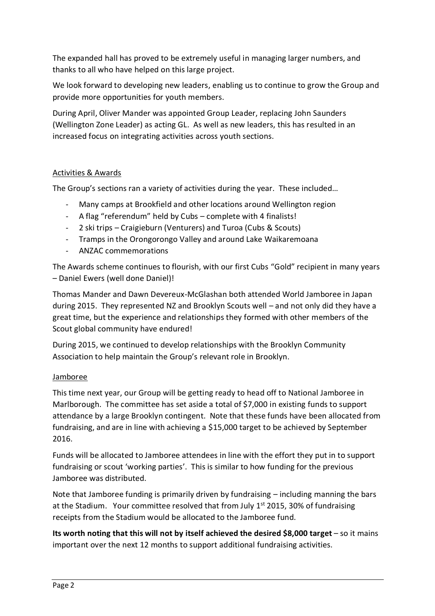The expanded hall has proved to be extremely useful in managing larger numbers, and thanks to all who have helped on this large project.

We look forward to developing new leaders, enabling us to continue to grow the Group and provide more opportunities for youth members.

During April, Oliver Mander was appointed Group Leader, replacing John Saunders (Wellington Zone Leader) as acting GL. As well as new leaders, this has resulted in an increased focus on integrating activities across youth sections.

# Activities & Awards

The Group's sections ran a variety of activities during the year. These included…

- Many camps at Brookfield and other locations around Wellington region
- A flag "referendum" held by Cubs complete with 4 finalists!
- 2 ski trips Craigieburn (Venturers) and Turoa (Cubs & Scouts)
- Tramps in the Orongorongo Valley and around Lake Waikaremoana
- ANZAC commemorations

The Awards scheme continues to flourish, with our first Cubs "Gold" recipient in many years – Daniel Ewers (well done Daniel)!

Thomas Mander and Dawn Devereux-McGlashan both attended World Jamboree in Japan during 2015. They represented NZ and Brooklyn Scouts well – and not only did they have a great time, but the experience and relationships they formed with other members of the Scout global community have endured!

During 2015, we continued to develop relationships with the Brooklyn Community Association to help maintain the Group's relevant role in Brooklyn.

## Jamboree

This time next year, our Group will be getting ready to head off to National Jamboree in Marlborough. The committee has set aside a total of \$7,000 in existing funds to support attendance by a large Brooklyn contingent. Note that these funds have been allocated from fundraising, and are in line with achieving a \$15,000 target to be achieved by September 2016.

Funds will be allocated to Jamboree attendees in line with the effort they put in to support fundraising or scout 'working parties'. This is similar to how funding for the previous Jamboree was distributed.

Note that Jamboree funding is primarily driven by fundraising – including manning the bars at the Stadium. Your committee resolved that from July  $1<sup>st</sup>$  2015, 30% of fundraising receipts from the Stadium would be allocated to the Jamboree fund.

**Its worth noting that this will not by itself achieved the desired \$8,000 target** – so it mains important over the next 12 months to support additional fundraising activities.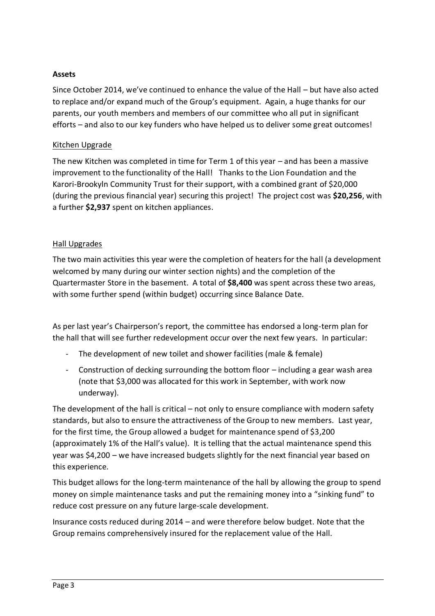## **Assets**

Since October 2014, we've continued to enhance the value of the Hall – but have also acted to replace and/or expand much of the Group's equipment. Again, a huge thanks for our parents, our youth members and members of our committee who all put in significant efforts – and also to our key funders who have helped us to deliver some great outcomes!

## Kitchen Upgrade

The new Kitchen was completed in time for Term 1 of this year – and has been a massive improvement to the functionality of the Hall! Thanks to the Lion Foundation and the Karori-Brookyln Community Trust for their support, with a combined grant of \$20,000 (during the previous financial year) securing this project! The project cost was **\$20,256**, with a further **\$2,937** spent on kitchen appliances.

## Hall Upgrades

The two main activities this year were the completion of heaters for the hall (a development welcomed by many during our winter section nights) and the completion of the Quartermaster Store in the basement. A total of **\$8,400** was spent across these two areas, with some further spend (within budget) occurring since Balance Date.

As per last year's Chairperson's report, the committee has endorsed a long-term plan for the hall that will see further redevelopment occur over the next few years. In particular:

- The development of new toilet and shower facilities (male & female)
- Construction of decking surrounding the bottom floor including a gear wash area (note that \$3,000 was allocated for this work in September, with work now underway).

The development of the hall is critical – not only to ensure compliance with modern safety standards, but also to ensure the attractiveness of the Group to new members. Last year, for the first time, the Group allowed a budget for maintenance spend of \$3,200 (approximately 1% of the Hall's value). It is telling that the actual maintenance spend this year was \$4,200 – we have increased budgets slightly for the next financial year based on this experience.

This budget allows for the long-term maintenance of the hall by allowing the group to spend money on simple maintenance tasks and put the remaining money into a "sinking fund" to reduce cost pressure on any future large-scale development.

Insurance costs reduced during 2014 – and were therefore below budget. Note that the Group remains comprehensively insured for the replacement value of the Hall.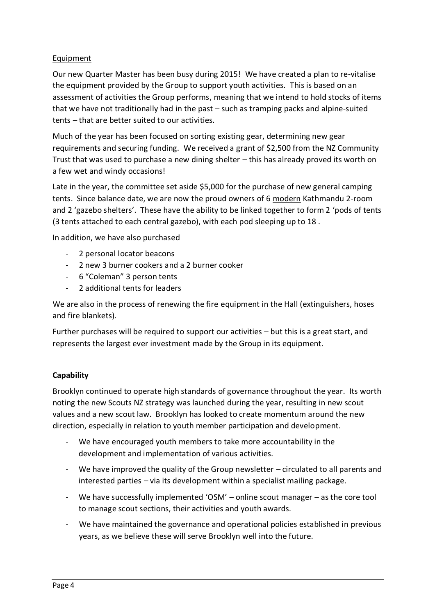# Equipment

Our new Quarter Master has been busy during 2015! We have created a plan to re-vitalise the equipment provided by the Group to support youth activities. This is based on an assessment of activities the Group performs, meaning that we intend to hold stocks of items that we have not traditionally had in the past – such as tramping packs and alpine-suited tents – that are better suited to our activities.

Much of the year has been focused on sorting existing gear, determining new gear requirements and securing funding. We received a grant of \$2,500 from the NZ Community Trust that was used to purchase a new dining shelter – this has already proved its worth on a few wet and windy occasions!

Late in the year, the committee set aside \$5,000 for the purchase of new general camping tents. Since balance date, we are now the proud owners of 6 modern Kathmandu 2-room and 2 'gazebo shelters'. These have the ability to be linked together to form 2 'pods of tents (3 tents attached to each central gazebo), with each pod sleeping up to 18 .

In addition, we have also purchased

- 2 personal locator beacons
- 2 new 3 burner cookers and a 2 burner cooker
- 6 "Coleman" 3 person tents
- 2 additional tents for leaders

We are also in the process of renewing the fire equipment in the Hall (extinguishers, hoses and fire blankets).

Further purchases will be required to support our activities – but this is a great start, and represents the largest ever investment made by the Group in its equipment.

## **Capability**

Brooklyn continued to operate high standards of governance throughout the year. Its worth noting the new Scouts NZ strategy was launched during the year, resulting in new scout values and a new scout law. Brooklyn has looked to create momentum around the new direction, especially in relation to youth member participation and development.

- We have encouraged youth members to take more accountability in the development and implementation of various activities.
- We have improved the quality of the Group newsletter circulated to all parents and interested parties – via its development within a specialist mailing package.
- We have successfully implemented 'OSM' online scout manager as the core tool to manage scout sections, their activities and youth awards.
- We have maintained the governance and operational policies established in previous years, as we believe these will serve Brooklyn well into the future.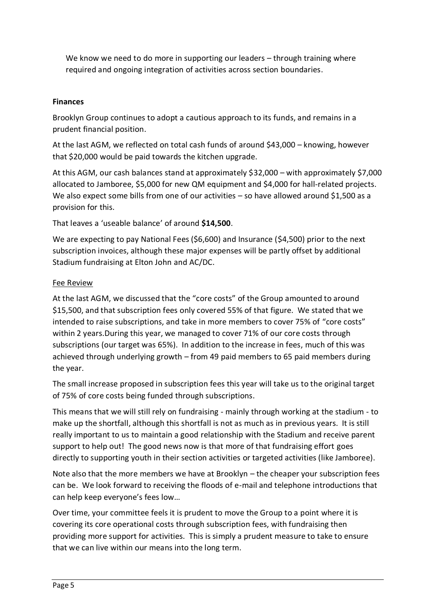We know we need to do more in supporting our leaders – through training where required and ongoing integration of activities across section boundaries.

# **Finances**

Brooklyn Group continues to adopt a cautious approach to its funds, and remains in a prudent financial position.

At the last AGM, we reflected on total cash funds of around \$43,000 – knowing, however that \$20,000 would be paid towards the kitchen upgrade.

At this AGM, our cash balances stand at approximately \$32,000 – with approximately \$7,000 allocated to Jamboree, \$5,000 for new QM equipment and \$4,000 for hall-related projects. We also expect some bills from one of our activities – so have allowed around \$1,500 as a provision for this.

That leaves a 'useable balance' of around **\$14,500**.

We are expecting to pay National Fees (\$6,600) and Insurance (\$4,500) prior to the next subscription invoices, although these major expenses will be partly offset by additional Stadium fundraising at Elton John and AC/DC.

# Fee Review

At the last AGM, we discussed that the "core costs" of the Group amounted to around \$15,500, and that subscription fees only covered 55% of that figure. We stated that we intended to raise subscriptions, and take in more members to cover 75% of "core costs" within 2 years.During this year, we managed to cover 71% of our core costs through subscriptions (our target was 65%). In addition to the increase in fees, much of this was achieved through underlying growth – from 49 paid members to 65 paid members during the year.

The small increase proposed in subscription fees this year will take us to the original target of 75% of core costs being funded through subscriptions.

This means that we will still rely on fundraising - mainly through working at the stadium - to make up the shortfall, although this shortfall is not as much as in previous years. It is still really important to us to maintain a good relationship with the Stadium and receive parent support to help out! The good news now is that more of that fundraising effort goes directly to supporting youth in their section activities or targeted activities (like Jamboree).

Note also that the more members we have at Brooklyn – the cheaper your subscription fees can be. We look forward to receiving the floods of e-mail and telephone introductions that can help keep everyone's fees low…

Over time, your committee feels it is prudent to move the Group to a point where it is covering its core operational costs through subscription fees, with fundraising then providing more support for activities. This is simply a prudent measure to take to ensure that we can live within our means into the long term.